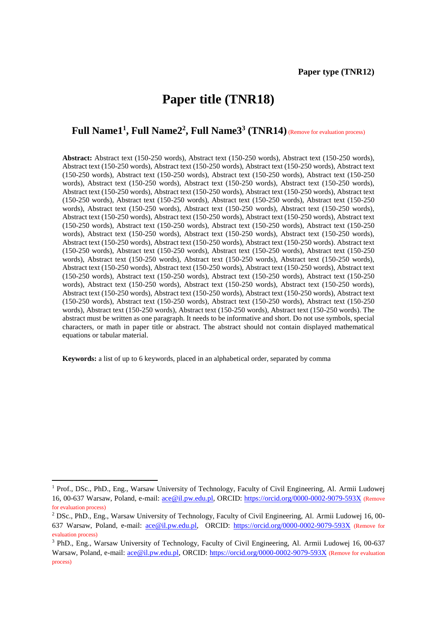# **Paper title (TNR18)**

## **Full Name1<sup>1</sup> , Full Name2<sup>2</sup> , Full Name3<sup>3</sup> (TNR14)**(Remove for evaluation process)

**Abstract:** Abstract text (150-250 words), Abstract text (150-250 words), Abstract text (150-250 words), Abstract text (150-250 words), Abstract text (150-250 words), Abstract text (150-250 words), Abstract text (150-250 words), Abstract text (150-250 words), Abstract text (150-250 words), Abstract text (150-250 words), Abstract text (150-250 words), Abstract text (150-250 words), Abstract text (150-250 words), Abstract text (150-250 words), Abstract text (150-250 words), Abstract text (150-250 words), Abstract text (150-250 words), Abstract text (150-250 words), Abstract text (150-250 words), Abstract text (150-250 words), Abstract text (150-250 words), Abstract text (150-250 words), Abstract text (150-250 words), Abstract text (150-250 words), Abstract text (150-250 words), Abstract text (150-250 words), Abstract text (150-250 words), Abstract text (150-250 words), Abstract text (150-250 words), Abstract text (150-250 words), Abstract text (150-250 words), Abstract text (150-250 words), Abstract text (150-250 words), Abstract text (150-250 words), Abstract text (150-250 words), Abstract text (150-250 words). Abstract text (150-250 words), Abstract text (150-250 words), Abstract text (150-250 words), Abstract text (150-250 words), Abstract text (150-250 words), Abstract text (150-250 words), Abstract text (150-250 words), Abstract text (150-250 words), Abstract text (150-250 words), Abstract text (150-250 words), Abstract text (150-250 words), Abstract text (150-250 words), Abstract text (150-250 words), Abstract text (150-250 words), Abstract text (150-250 words), Abstract text (150-250 words), Abstract text (150-250 words), Abstract text (150-250 words), Abstract text (150-250 words), Abstract text (150-250 words), Abstract text (150-250 words), Abstract text (150-250 words), Abstract text (150-250 words), Abstract text (150-250 words), Abstract text (150-250 words), Abstract text (150-250 words), Abstract text (150-250 words). The abstract must be written as one paragraph. It needs to be informative and short. Do not use symbols, special characters, or math in paper title or abstract. The abstract should not contain displayed mathematical equations or tabular material.

**Keywords:** a list of up to 6 keywords, placed in an alphabetical order, separated by comma

 $\overline{\phantom{a}}$ 

<sup>1</sup> Prof., DSc., PhD., Eng., Warsaw University of Technology, Faculty of Civil Engineering, Al. Armii Ludowej 16, 00-637 Warsaw, Poland, e-mail: [ace@il.pw.edu.pl,](mailto:ace@il.pw.edu.pl) ORCID:<https://orcid.org/0000-0002-9079-593X> (Remove for evaluation process)

<sup>2</sup> DSc., PhD., Eng., Warsaw University of Technology, Faculty of Civil Engineering, Al. Armii Ludowej 16, 00- 637 Warsaw, Poland, e-mail: [ace@il.pw.edu.pl,](mailto:ace@il.pw.edu.pl) ORCID:<https://orcid.org/0000-0002-9079-593X> (Remove for evaluation process)

<sup>3</sup> PhD., Eng., Warsaw University of Technology, Faculty of Civil Engineering, Al. Armii Ludowej 16, 00-637 Warsaw, Poland, e-mail: [ace@il.pw.edu.pl,](mailto:ace@il.pw.edu.pl) ORCID:<https://orcid.org/0000-0002-9079-593X> (Remove for evaluation process)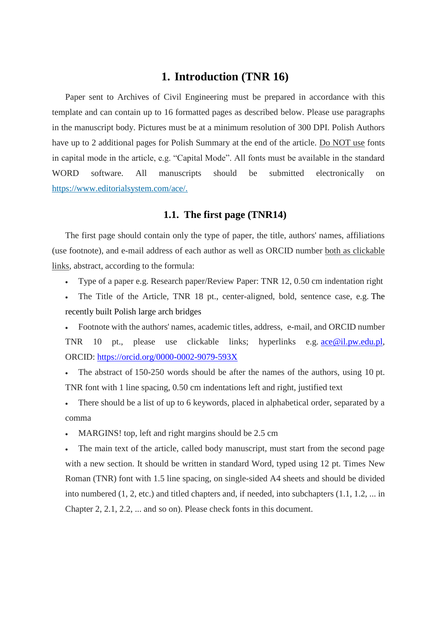# **1. Introduction (TNR 16)**

Paper sent to Archives of Civil Engineering must be prepared in accordance with this template and can contain up to 16 formatted pages as described below. Please use paragraphs in the manuscript body. Pictures must be at a minimum resolution of 300 DPI. Polish Authors have up to 2 additional pages for Polish Summary at the end of the article. Do NOT use fonts in capital mode in the article, e.g. "Capital Mode". All fonts must be available in the standard WORD software. All manuscripts should be submitted electronically on [https://www.editorialsystem.com/ace/.](https://www.editorialsystem.com/ace/)

### **1.1. The first page (TNR14)**

The first page should contain only the type of paper, the title, authors' names, affiliations (use footnote), and e-mail address of each author as well as ORCID number both as clickable links, abstract, according to the formula:

- Type of a paper e.g. Research paper/Review Paper: TNR 12, 0.50 cm indentation right
- The Title of the Article, TNR 18 pt., center-aligned, bold, sentence case, e.g. The recently built Polish large arch bridges

 Footnote with the authors' names, academic titles, address, e-mail, and ORCID number TNR 10 pt., please use clickable links; hyperlinks e.g. [ace@il.pw.edu.pl,](mailto:ace@il.pw.edu.pl) ORCID: <https://orcid.org/0000-0002-9079-593X>

 The abstract of 150-250 words should be after the names of the authors, using 10 pt. TNR font with 1 line spacing, 0.50 cm indentations left and right, justified text

 There should be a list of up to 6 keywords, placed in alphabetical order, separated by a comma

• MARGINS! top, left and right margins should be 2.5 cm

 The main text of the article, called body manuscript, must start from the second page with a new section. It should be written in standard Word, typed using 12 pt. Times New Roman (TNR) font with 1.5 line spacing, on single-sided A4 sheets and should be divided into numbered  $(1, 2,$  etc.) and titled chapters and, if needed, into subchapters  $(1.1, 1.2, \ldots)$  in Chapter 2, 2.1, 2.2, ... and so on). Please check fonts in this document.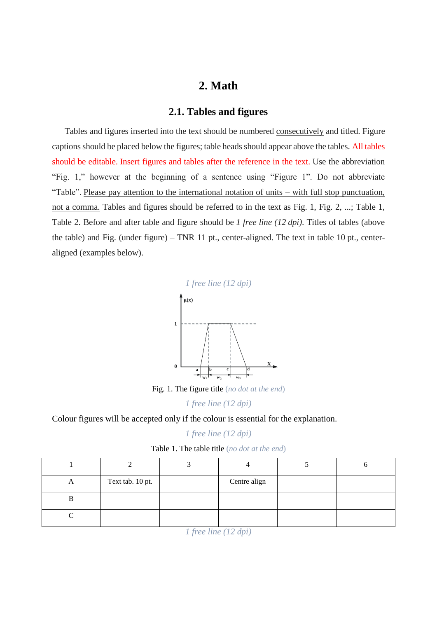# **2. Math**

### **2.1. Tables and figures**

Tables and figures inserted into the text should be numbered consecutively and titled. Figure captions should be placed below the figures; table heads should appear above the tables. All tables should be editable. Insert figures and tables after the reference in the text. Use the abbreviation "Fig. 1," however at the beginning of a sentence using "Figure 1". Do not abbreviate "Table". Please pay attention to the international notation of units – with full stop punctuation, not a comma. Tables and figures should be referred to in the text as Fig. 1, Fig. 2, ...; Table 1, Table 2. Before and after table and figure should be *1 free line (12 dpi)*. Titles of tables (above the table) and Fig. (under figure) – TNR 11 pt., center-aligned. The text in table 10 pt., centeraligned (examples below).



Fig. 1. The figure title (*no dot at the end*)

*1 free line (12 dpi)*

Colour figures will be accepted only if the colour is essential for the explanation.

#### *1 free line (12 dpi)*

| Table 1. The table title (no dot at the end) |  |  |  |  |  |
|----------------------------------------------|--|--|--|--|--|
|----------------------------------------------|--|--|--|--|--|

| Text tab. 10 pt.<br>Centre align<br>A<br>В |  |  |  |
|--------------------------------------------|--|--|--|
|                                            |  |  |  |
|                                            |  |  |  |
|                                            |  |  |  |

*<sup>1</sup> free line (12 dpi)*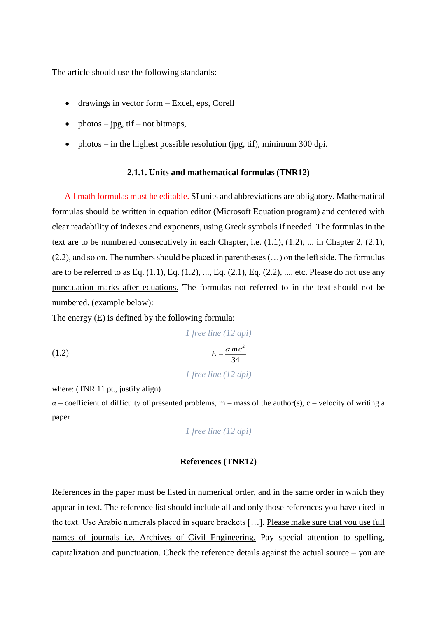The article should use the following standards:

- drawings in vector form Excel, eps, Corell
- photos jpg, tif not bitmaps,
- photos in the highest possible resolution (jpg, tif), minimum 300 dpi.

#### **2.1.1. Units and mathematical formulas (TNR12)**

All math formulas must be editable. SI units and abbreviations are obligatory. Mathematical formulas should be written in equation editor (Microsoft Equation program) and centered with clear readability of indexes and exponents, using Greek symbols if needed. The formulas in the text are to be numbered consecutively in each Chapter, i.e. (1.1), (1.2), ... in Chapter 2, (2.1), (2.2), and so on. The numbers should be placed in parentheses (…) on the left side. The formulas are to be referred to as Eq.  $(1.1)$ , Eq.  $(1.2)$ , ..., Eq.  $(2.1)$ , Eq.  $(2.2)$ , ..., etc. Please do not use any punctuation marks after equations. The formulas not referred to in the text should not be numbered. (example below):

The energy (E) is defined by the following formula:

(1.2)

\n
$$
I\,free\,line(12\,dpi)
$$
\n
$$
E = \frac{\alpha mc^2}{34}
$$
\n
$$
I\,free\,line(12\,dpi)
$$

where: (TNR 11 pt., justify align)

 $\alpha$  – coefficient of difficulty of presented problems, m – mass of the author(s), c – velocity of writing a paper

*1 free line (12 dpi)*

#### **References (TNR12)**

References in the paper must be listed in numerical order, and in the same order in which they appear in text. The reference list should include all and only those references you have cited in the text. Use Arabic numerals placed in square brackets […]. Please make sure that you use full names of journals i.e. Archives of Civil Engineering. Pay special attention to spelling, capitalization and punctuation. Check the reference details against the actual source – you are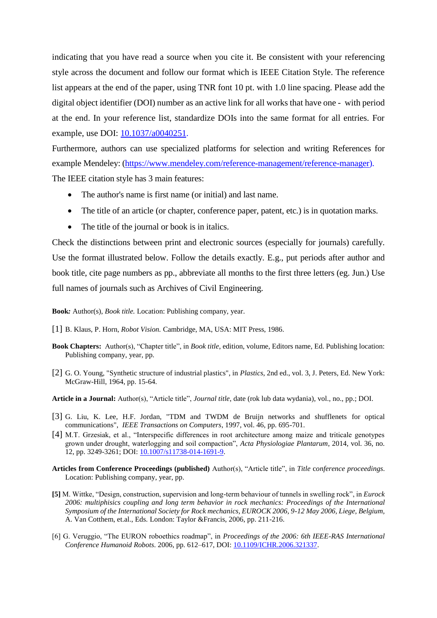indicating that you have read a source when you cite it. Be consistent with your referencing style across the document and follow our format which is IEEE Citation Style. The reference list appears at the end of the paper, using TNR font 10 pt. with 1.0 line spacing. Please add the digital object identifier (DOI) number as an active link for all works that have one - with period at the end. In your reference list, standardize DOIs into the same format for all entries. For example, use DOI: [10.1037/a0040251.](https://doi.org/10.1037/a0040251)

Furthermore, authors can use specialized platforms for selection and writing References for example Mendeley: [\(https://www.mendeley.com/reference-management/reference-manager\)](https://www.mendeley.com/reference-management/reference-manager). The IEEE citation style has 3 main features:

- The author's name is first name (or initial) and last name.
- The title of an article (or chapter, conference paper, patent, etc.) is in quotation marks.
- The title of the journal or book is in italics.

Check the distinctions between print and electronic sources (especially for journals) carefully. Use the format illustrated below. Follow the details exactly. E.g., put periods after author and book title, cite page numbers as pp., abbreviate all months to the first three letters (eg. Jun.) Use full names of journals such as Archives of Civil Engineering.

**Book***:* Author(s), *Book title.* Location: Publishing company, year.

- [1] B. Klaus, P. Horn, *Robot Vision.* Cambridge, MA, USA: MIT Press, 1986.
- **Book Chapters:** Author(s), "Chapter title", in *Book title*, edition, volume, Editors name, Ed. Publishing location: Publishing company, year, pp.
- [2] G. O. Young, "Synthetic structure of industrial plastics", in *Plastics*, 2nd ed., vol. 3, J. Peters, Ed. New York: McGraw-Hill, 1964, pp. 15-64.

**Article in a Journal:** Author(s), "Article title", *Journal title*, date (rok lub data wydania), vol., no., pp.; DOI.

- [3] G. Liu, K. Lee, H.F. Jordan, "TDM and TWDM de Bruijn networks and shufflenets for optical communications", *IEEE Transactions on Computers*, 1997, vol. 46, pp. 695-701.
- [4] M.T. Grzesiak, et al., "Interspecific differences in root architecture among maize and triticale genotypes grown under drought, waterlogging and soil compaction", *Acta Physiologiae Plantarum*, 2014, vol. 36, no. 12, pp. 3249-3261; DOI[: 10.1007/s11738-014-1691-9.](https://doi.org/10.1007/s11738-014-1691-9)
- **Articles from Conference Proceedings (published)** Author(s), "Article title", in *Title* c*onference proceedings*. Location: Publishing company, year, pp.
- **[5]** M. Wittke, "Design, construction, supervision and long-term behaviour of tunnels in swelling rock", in *Eurock 2006: multiphisics coupling and long term behavior in rock mechanics: Proceedings of the International Symposium of the International Society for Rock mechanics, EUROCK 2006, 9-12 May 2006, Liege, Belgium,*  A. Van Cotthem, et.al., Eds. London: Taylor &Francis, 2006, pp. 211-216.
- [6] G. Veruggio, "The EURON roboethics roadmap", in *Proceedings of the 2006: 6th IEEE-RAS International Conference Humanoid Robots*. 2006, pp. 612–617, DOI: [10.1109/ICHR.2006.321337.](https://doi.org/10.1109/ICHR.2006.321337)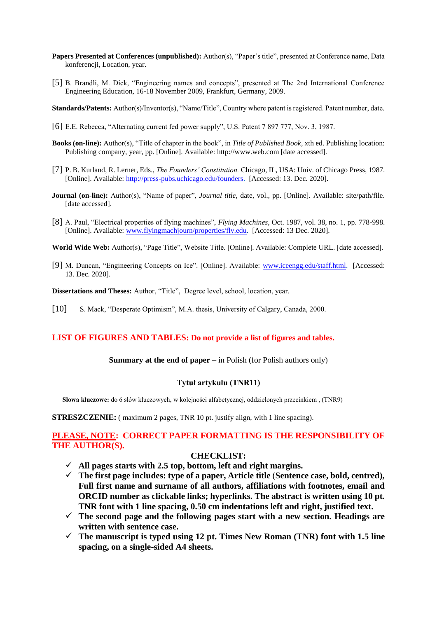- **Papers Presented at Conferences (unpublished):** Author(s), "Paper's title", presented at Conference name, Data konferencji, Location, year.
- [5] B. Brandli, M. Dick, "Engineering names and concepts", presented at The 2nd International Conference Engineering Education, 16-18 November 2009, Frankfurt, Germany, 2009.
- **Standards/Patents:** Author(s)/Inventor(s), "Name/Title", Country where patent is registered. Patent number, date.
- [6] E.E. Rebecca, "Alternating current fed power supply", U.S. Patent 7 897 777, Nov. 3, 1987.
- **Books (on-line):** Author(s), "Title of chapter in the book", in *Title of Published Book*, xth ed. Publishing location: Publishing company, year, pp. [Online]. Available: http://www.web.com [date accessed].
- [7] P. B. Kurland, R. Lerner, Eds., *The Founders' Constitution.* Chicago, IL, USA: Univ. of Chicago Press, 1987. [Online]. Available: [http://press-pubs.uchicago.edu/founders.](http://press-pubs.uchicago.edu/founders) [Accessed: 13. Dec. 2020].
- **Journal (on-line):** Author(s), "Name of paper", *Journal title*, date, vol., pp. [Online]. Available: site/path/file. [date accessed].
- [8] A. Paul, "Electrical properties of flying machines", *Flying Machines,* Oct. 1987, vol. 38, no. 1, pp. 778-998. [Online]. Available: [www.flyingmachjourn/properties/fly.edu.](http://www.flyingmachjourn/properties/fly.edu) [Accessed: 13 Dec. 2020].
- **World Wide Web:** Author(s), "Page Title", Website Title. [Online]. Available: Complete URL. [date accessed].
- [9] M. Duncan, "Engineering Concepts on Ice". [Online]. Available: [www.iceengg.edu/staff.html.](http://www.iceengg.edu/staff.html) [Accessed: 13. Dec. 2020].
- **Dissertations and Theses:** Author, "Title", Degree level, school, location, year.
- [10] S. Mack, "Desperate Optimism", M.A. thesis, University of Calgary, Canada, 2000.

#### **LIST OF FIGURES AND TABLES: Do not provide a list of figures and tables.**

#### **Summary at the end of paper** – in Polish (for Polish authors only)

#### **Tytuł artykułu (TNR11)**

**Słowa kluczowe:** do 6 słów kluczowych, w kolejności alfabetycznej, oddzielonych przecinkiem , (TNR9)

**STRESZCZENIE:** ( maximum 2 pages, TNR 10 pt. justify align, with 1 line spacing).

### **PLEASE, NOTE: CORRECT PAPER FORMATTING IS THE RESPONSIBILITY OF THE AUTHOR(S).**

#### **CHECKLIST:**

- $\checkmark$  All pages starts with 2.5 top, bottom, left and right margins.
- **The first page includes: type of a paper, Article title** (**Sentence case, bold, centred), Full first name and surname of all authors, affiliations with footnotes, email and ORCID number as clickable links; hyperlinks. The abstract is written using 10 pt. TNR font with 1 line spacing, 0.50 cm indentations left and right, justified text.**
- **The second page and the following pages start with a new section. Headings are written with sentence case.**
- $\checkmark$  The manuscript is typed using 12 pt. Times New Roman (TNR) font with 1.5 line **spacing, on a single-sided A4 sheets.**